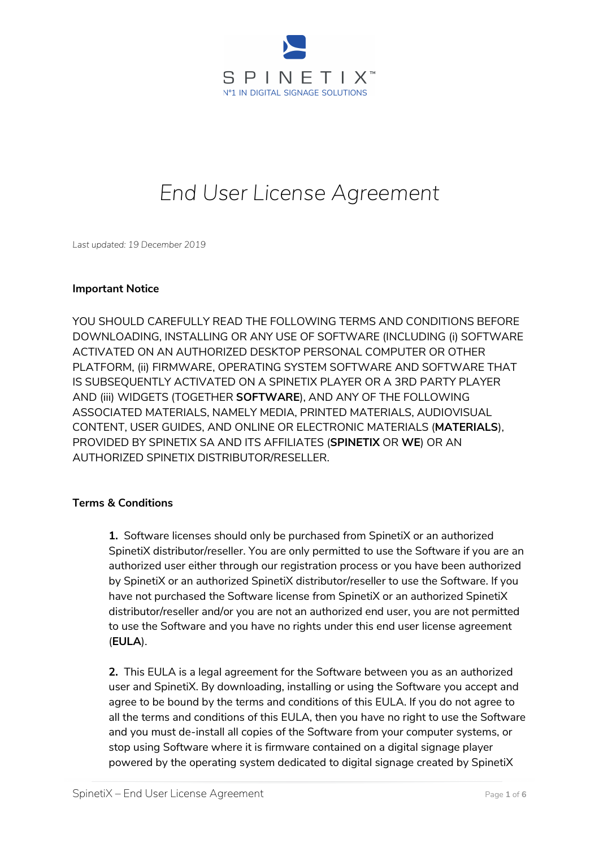

# *End User License Agreement*

*Last updated: 19 December 2019*

#### **Important Notice**

YOU SHOULD CAREFULLY READ THE FOLLOWING TERMS AND CONDITIONS BEFORE DOWNLOADING, INSTALLING OR ANY USE OF SOFTWARE (INCLUDING (i) SOFTWARE ACTIVATED ON AN AUTHORIZED DESKTOP PERSONAL COMPUTER OR OTHER PLATFORM, (ii) FIRMWARE, OPERATING SYSTEM SOFTWARE AND SOFTWARE THAT IS SUBSEQUENTLY ACTIVATED ON A SPINETIX PLAYER OR A 3RD PARTY PLAYER AND (iii) WIDGETS (TOGETHER **SOFTWARE**), AND ANY OF THE FOLLOWING ASSOCIATED MATERIALS, NAMELY MEDIA, PRINTED MATERIALS, AUDIOVISUAL CONTENT, USER GUIDES, AND ONLINE OR ELECTRONIC MATERIALS (**MATERIALS**), PROVIDED BY SPINETIX SA AND ITS AFFILIATES (**SPINETIX** OR **WE**) OR AN AUTHORIZED SPINETIX DISTRIBUTOR/RESELLER.

### **Terms & Conditions**

**1.** Software licenses should only be purchased from SpinetiX or an authorized SpinetiX distributor/reseller. You are only permitted to use the Software if you are an authorized user either through our registration process or you have been authorized by SpinetiX or an authorized SpinetiX distributor/reseller to use the Software. If you have not purchased the Software license from SpinetiX or an authorized SpinetiX distributor/reseller and/or you are not an authorized end user, you are not permitted to use the Software and you have no rights under this end user license agreement (**EULA**).

**2.** This EULA is a legal agreement for the Software between you as an authorized user and SpinetiX. By downloading, installing or using the Software you accept and agree to be bound by the terms and conditions of this EULA. If you do not agree to all the terms and conditions of this EULA, then you have no right to use the Software and you must de-install all copies of the Software from your computer systems, or stop using Software where it is firmware contained on a digital signage player powered by the operating system dedicated to digital signage created by SpinetiX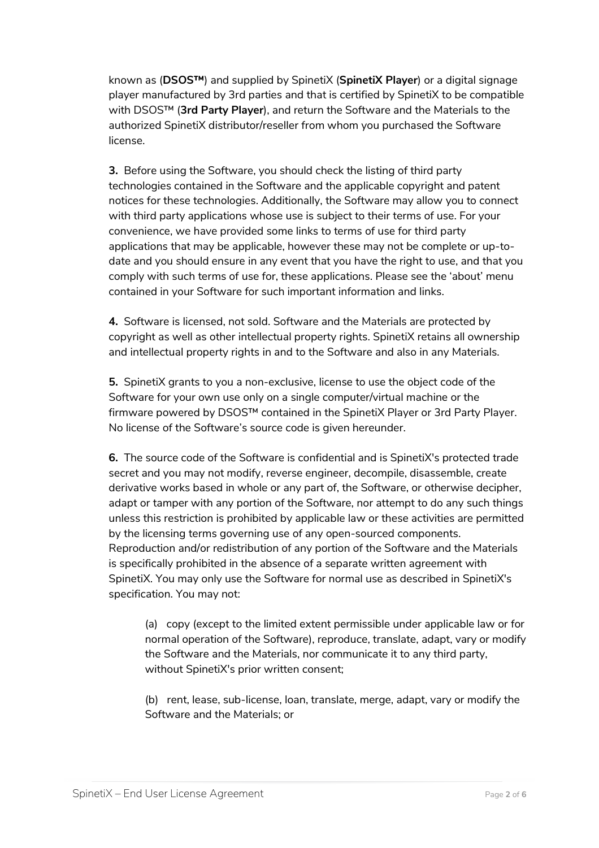known as (**DSOS™**) and supplied by SpinetiX (**SpinetiX Player**) or a digital signage player manufactured by 3rd parties and that is certified by SpinetiX to be compatible with DSOS™ (**3rd Party Player**), and return the Software and the Materials to the authorized SpinetiX distributor/reseller from whom you purchased the Software license.

**3.** Before using the Software, you should check the listing of third party technologies contained in the Software and the applicable copyright and patent notices for these technologies. Additionally, the Software may allow you to connect with third party applications whose use is subject to their terms of use. For your convenience, we have provided some links to terms of use for third party applications that may be applicable, however these may not be complete or up-todate and you should ensure in any event that you have the right to use, and that you comply with such terms of use for, these applications. Please see the 'about' menu contained in your Software for such important information and links.

**4.** Software is licensed, not sold. Software and the Materials are protected by copyright as well as other intellectual property rights. SpinetiX retains all ownership and intellectual property rights in and to the Software and also in any Materials.

**5.** SpinetiX grants to you a non-exclusive, license to use the object code of the Software for your own use only on a single computer/virtual machine or the firmware powered by DSOS™ contained in the SpinetiX Player or 3rd Party Player. No license of the Software's source code is given hereunder.

**6.** The source code of the Software is confidential and is SpinetiX's protected trade secret and you may not modify, reverse engineer, decompile, disassemble, create derivative works based in whole or any part of, the Software, or otherwise decipher, adapt or tamper with any portion of the Software, nor attempt to do any such things unless this restriction is prohibited by applicable law or these activities are permitted by the licensing terms governing use of any open-sourced components. Reproduction and/or redistribution of any portion of the Software and the Materials is specifically prohibited in the absence of a separate written agreement with SpinetiX. You may only use the Software for normal use as described in SpinetiX's specification. You may not:

(a) copy (except to the limited extent permissible under applicable law or for normal operation of the Software), reproduce, translate, adapt, vary or modify the Software and the Materials, nor communicate it to any third party, without SpinetiX's prior written consent;

(b) rent, lease, sub-license, loan, translate, merge, adapt, vary or modify the Software and the Materials; or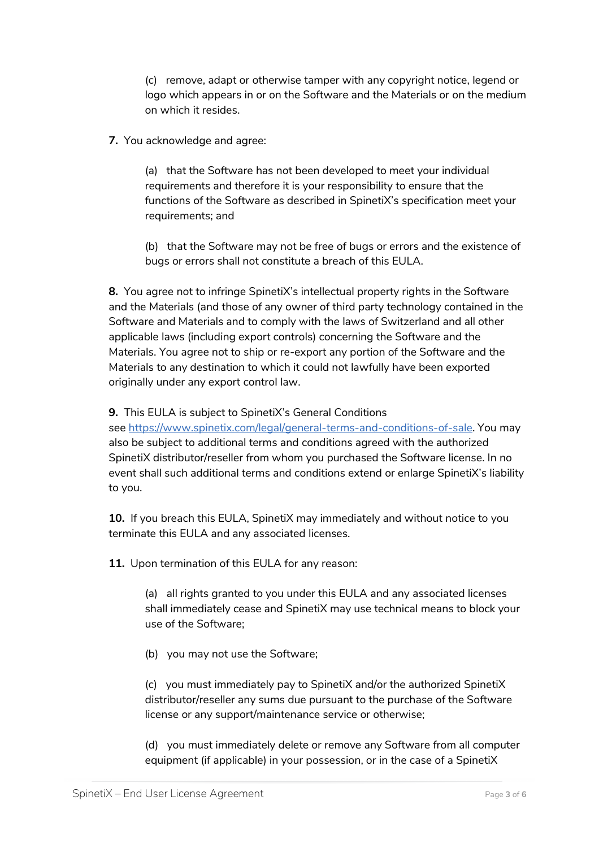(c) remove, adapt or otherwise tamper with any copyright notice, legend or logo which appears in or on the Software and the Materials or on the medium on which it resides.

**7.** You acknowledge and agree:

(a) that the Software has not been developed to meet your individual requirements and therefore it is your responsibility to ensure that the functions of the Software as described in SpinetiX's specification meet your requirements; and

(b) that the Software may not be free of bugs or errors and the existence of bugs or errors shall not constitute a breach of this EULA.

**8.** You agree not to infringe SpinetiX's intellectual property rights in the Software and the Materials (and those of any owner of third party technology contained in the Software and Materials and to comply with the laws of Switzerland and all other applicable laws (including export controls) concerning the Software and the Materials. You agree not to ship or re-export any portion of the Software and the Materials to any destination to which it could not lawfully have been exported originally under any export control law.

### **9.** This EULA is subject to SpinetiX's General Conditions

see [https://www.spinetix.com/legal/general-terms-and-conditions-of-sale.](https://www.spinetix.com/legal/general-terms-and-conditions-of-sale) You may also be subject to additional terms and conditions agreed with the authorized SpinetiX distributor/reseller from whom you purchased the Software license. In no event shall such additional terms and conditions extend or enlarge SpinetiX's liability to you.

**10.** If you breach this EULA, SpinetiX may immediately and without notice to you terminate this EULA and any associated licenses.

**11.** Upon termination of this EULA for any reason:

(a) all rights granted to you under this EULA and any associated licenses shall immediately cease and SpinetiX may use technical means to block your use of the Software;

(b) you may not use the Software;

(c) you must immediately pay to SpinetiX and/or the authorized SpinetiX distributor/reseller any sums due pursuant to the purchase of the Software license or any support/maintenance service or otherwise;

(d) you must immediately delete or remove any Software from all computer equipment (if applicable) in your possession, or in the case of a SpinetiX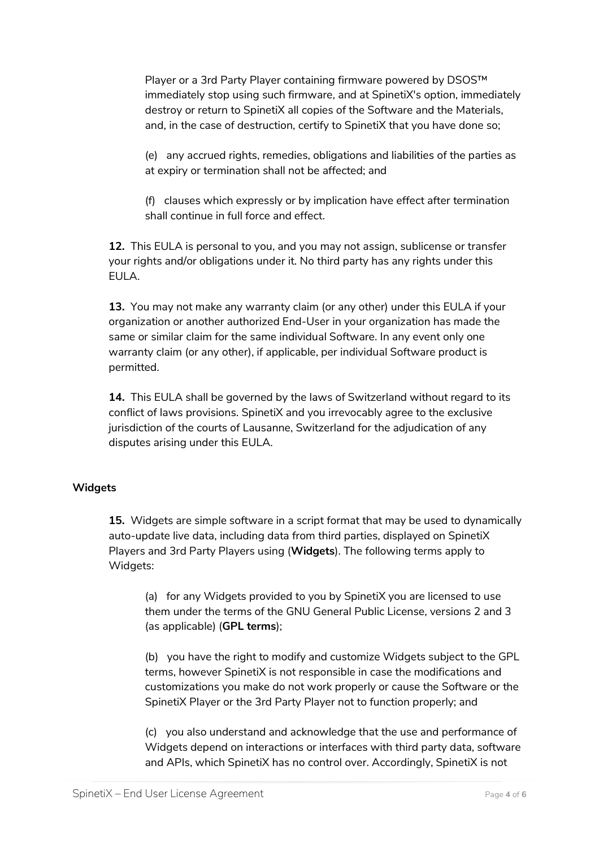Player or a 3rd Party Player containing firmware powered by DSOS™ immediately stop using such firmware, and at SpinetiX's option, immediately destroy or return to SpinetiX all copies of the Software and the Materials, and, in the case of destruction, certify to SpinetiX that you have done so;

(e) any accrued rights, remedies, obligations and liabilities of the parties as at expiry or termination shall not be affected; and

(f) clauses which expressly or by implication have effect after termination shall continue in full force and effect.

**12.** This EULA is personal to you, and you may not assign, sublicense or transfer your rights and/or obligations under it. No third party has any rights under this EULA.

**13.** You may not make any warranty claim (or any other) under this EULA if your organization or another authorized End-User in your organization has made the same or similar claim for the same individual Software. In any event only one warranty claim (or any other), if applicable, per individual Software product is permitted.

**14.** This EULA shall be governed by the laws of Switzerland without regard to its conflict of laws provisions. SpinetiX and you irrevocably agree to the exclusive jurisdiction of the courts of Lausanne, Switzerland for the adjudication of any disputes arising under this EULA.

## **Widgets**

**15.** Widgets are simple software in a script format that may be used to dynamically auto-update live data, including data from third parties, displayed on SpinetiX Players and 3rd Party Players using (**Widgets**). The following terms apply to Widgets:

(a) for any Widgets provided to you by SpinetiX you are licensed to use them under the terms of the GNU General Public License, versions 2 and 3 (as applicable) (**GPL terms**);

(b) you have the right to modify and customize Widgets subject to the GPL terms, however SpinetiX is not responsible in case the modifications and customizations you make do not work properly or cause the Software or the SpinetiX Player or the 3rd Party Player not to function properly; and

(c) you also understand and acknowledge that the use and performance of Widgets depend on interactions or interfaces with third party data, software and APIs, which SpinetiX has no control over. Accordingly, SpinetiX is not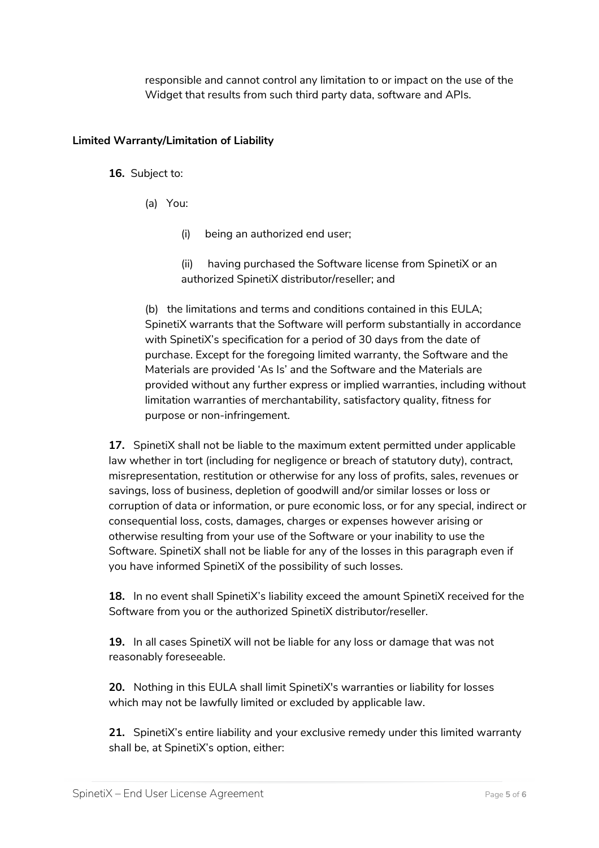responsible and cannot control any limitation to or impact on the use of the Widget that results from such third party data, software and APIs.

# **Limited Warranty/Limitation of Liability**

- **16.** Subject to:
	- (a) You:
		- (i) being an authorized end user;
		- (ii) having purchased the Software license from SpinetiX or an authorized SpinetiX distributor/reseller; and

(b) the limitations and terms and conditions contained in this EULA; SpinetiX warrants that the Software will perform substantially in accordance with SpinetiX's specification for a period of 30 days from the date of purchase. Except for the foregoing limited warranty, the Software and the Materials are provided 'As Is' and the Software and the Materials are provided without any further express or implied warranties, including without limitation warranties of merchantability, satisfactory quality, fitness for purpose or non-infringement.

**17.** SpinetiX shall not be liable to the maximum extent permitted under applicable law whether in tort (including for negligence or breach of statutory duty), contract, misrepresentation, restitution or otherwise for any loss of profits, sales, revenues or savings, loss of business, depletion of goodwill and/or similar losses or loss or corruption of data or information, or pure economic loss, or for any special, indirect or consequential loss, costs, damages, charges or expenses however arising or otherwise resulting from your use of the Software or your inability to use the Software. SpinetiX shall not be liable for any of the losses in this paragraph even if you have informed SpinetiX of the possibility of such losses.

**18.** In no event shall SpinetiX's liability exceed the amount SpinetiX received for the Software from you or the authorized SpinetiX distributor/reseller.

**19.** In all cases SpinetiX will not be liable for any loss or damage that was not reasonably foreseeable.

**20.** Nothing in this EULA shall limit SpinetiX's warranties or liability for losses which may not be lawfully limited or excluded by applicable law.

**21.** SpinetiX's entire liability and your exclusive remedy under this limited warranty shall be, at SpinetiX's option, either: